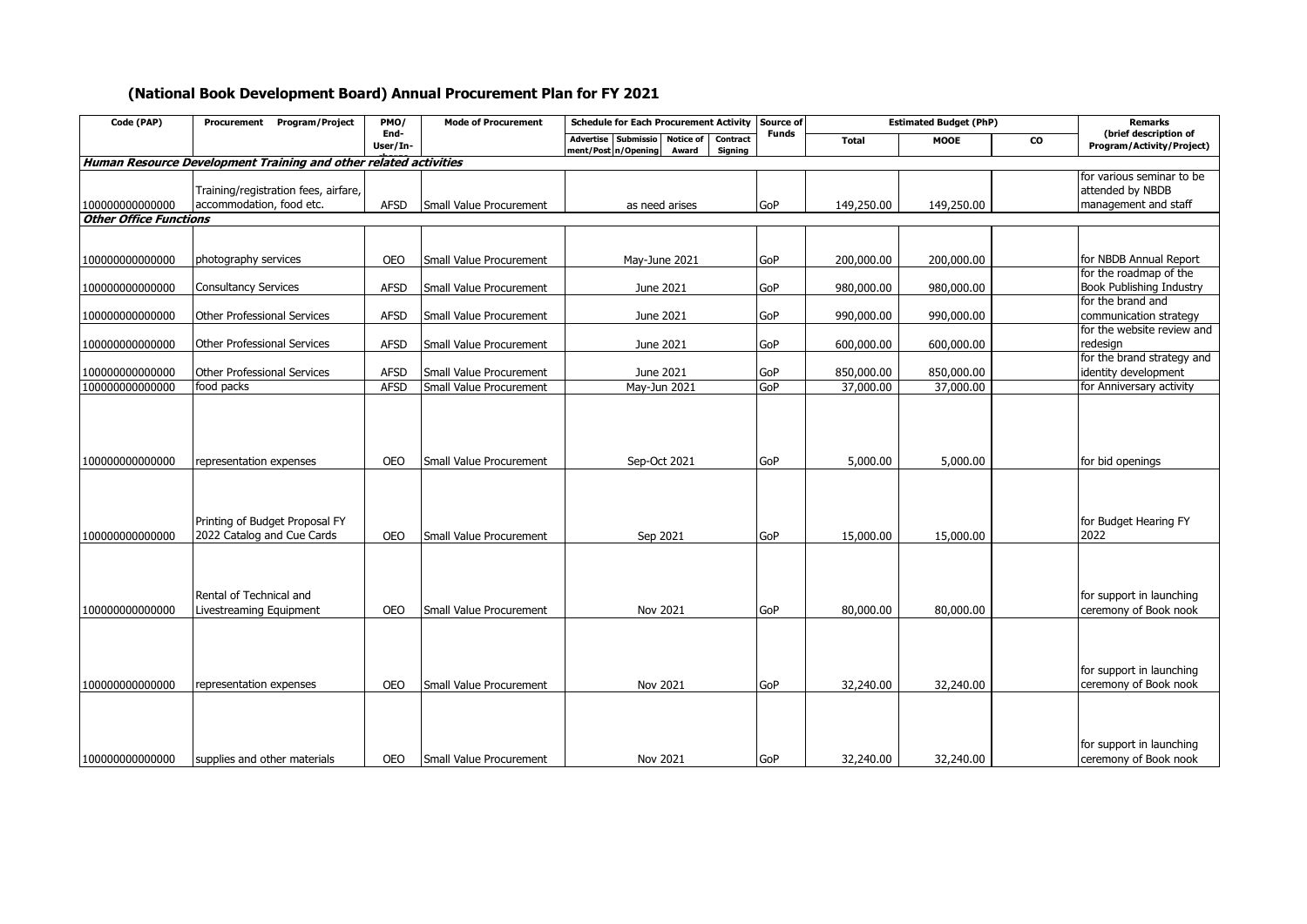## **(National Book Development Board) Annual Procurement Plan for FY 2021**

| Code (PAP)                         | Procurement Program/Project                                                             | PMO/                     | <b>Mode of Procurement</b>                         | <b>Schedule for Each Procurement Activity</b>                                                  | Source of         | <b>Estimated Budget (PhP)</b> |                       |    | <b>Remarks</b>                                                        |
|------------------------------------|-----------------------------------------------------------------------------------------|--------------------------|----------------------------------------------------|------------------------------------------------------------------------------------------------|-------------------|-------------------------------|-----------------------|----|-----------------------------------------------------------------------|
|                                    |                                                                                         | End-<br>User/In-         |                                                    | Advertise Submissio<br><b>Notice of</b><br>Contract<br>ment/Post n/Opening<br>Award<br>Signing | <b>Funds</b>      | <b>Total</b>                  | <b>MOOE</b>           | CO | (brief description of<br>Program/Activity/Project)                    |
|                                    | Human Resource Development Training and other related activities                        |                          |                                                    |                                                                                                |                   |                               |                       |    |                                                                       |
| 100000000000000                    | Training/registration fees, airfare,<br>accommodation, food etc.                        | <b>AFSD</b>              | Small Value Procurement                            | as need arises                                                                                 | GoP               | 149,250.00                    | 149,250.00            |    | for various seminar to be<br>attended by NBDB<br>management and staff |
| <b>Other Office Functions</b>      |                                                                                         |                          |                                                    |                                                                                                |                   |                               |                       |    |                                                                       |
|                                    |                                                                                         |                          |                                                    |                                                                                                |                   |                               |                       |    |                                                                       |
| 100000000000000                    | photography services                                                                    | <b>OEO</b>               | Small Value Procurement                            | May-June 2021                                                                                  | GoP               | 200,000.00                    | 200,000.00            |    | for NBDB Annual Report                                                |
| 100000000000000                    | <b>Consultancy Services</b>                                                             | <b>AFSD</b>              | Small Value Procurement                            | June 2021                                                                                      | GoP               | 980,000.00                    | 980,000.00            |    | for the roadmap of the<br><b>Book Publishing Industry</b>             |
| 10000000000000                     | Other Professional Services                                                             | <b>AFSD</b>              | Small Value Procurement                            | June 2021                                                                                      | GoP               | 990,000.00                    | 990,000.00            |    | for the brand and<br>communication strategy                           |
| 100000000000000                    | <b>Other Professional Services</b>                                                      | <b>AFSD</b>              | Small Value Procurement                            | June 2021                                                                                      | GoP               | 600,000.00                    | 600,000.00            |    | for the website review and<br>redesign                                |
| 100000000000000                    | <b>Other Professional Services</b>                                                      | <b>AFSD</b>              | Small Value Procurement                            | June 2021                                                                                      | GoP               | 850,000.00                    | 850,000.00            |    | for the brand strategy and<br>identity development                    |
| 100000000000000                    | food packs                                                                              | <b>AFSD</b>              | Small Value Procurement                            | May-Jun 2021                                                                                   | GoP               | 37,000.00                     | 37,000.00             |    | for Anniversary activity                                              |
| 100000000000000<br>100000000000000 | representation expenses<br>Printing of Budget Proposal FY<br>2022 Catalog and Cue Cards | <b>OEO</b><br><b>OEO</b> | Small Value Procurement<br>Small Value Procurement | Sep-Oct 2021<br>Sep 2021                                                                       | GoP<br><b>GoP</b> | 5,000.00<br>15,000.00         | 5,000.00<br>15,000.00 |    | for bid openings<br>for Budget Hearing FY<br>2022                     |
| 100000000000000                    | Rental of Technical and<br>Livestreaming Equipment                                      | <b>OEO</b>               | Small Value Procurement                            | Nov 2021                                                                                       | GoP               | 80,000.00                     | 80,000.00             |    | for support in launching<br>ceremony of Book nook                     |
| 100000000000000                    | representation expenses                                                                 | <b>OEO</b>               | Small Value Procurement                            | Nov 2021                                                                                       | GoP               | 32,240.00                     | 32,240.00             |    | for support in launching<br>ceremony of Book nook                     |
| 100000000000000                    | supplies and other materials                                                            | <b>OEO</b>               | Small Value Procurement                            | Nov 2021                                                                                       | GoP               | 32,240.00                     | 32,240.00             |    | for support in launching<br>ceremony of Book nook                     |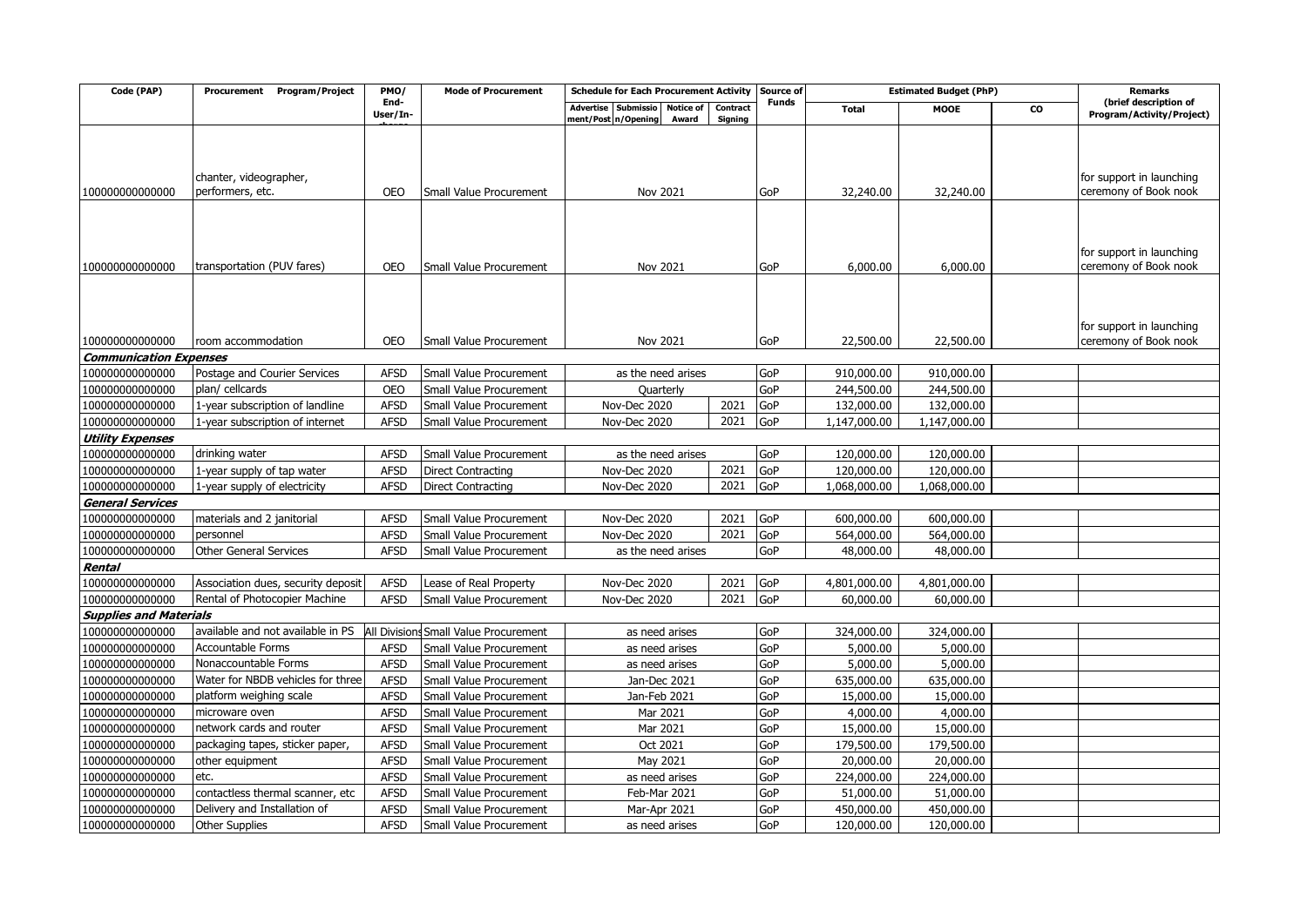| Code (PAP)                                       | Program/Project<br>Procurement                  | PMO/                      | <b>Mode of Procurement</b>                         | <b>Schedule for Each Procurement Activity</b>                              |                     | Source of  | <b>Estimated Budget (PhP)</b> |                          |           | <b>Remarks</b>                                     |
|--------------------------------------------------|-------------------------------------------------|---------------------------|----------------------------------------------------|----------------------------------------------------------------------------|---------------------|------------|-------------------------------|--------------------------|-----------|----------------------------------------------------|
|                                                  |                                                 | End-<br>User/In-          |                                                    | Submissio<br>Notice of<br><b>Advertise</b><br>ment/Post n/Opening<br>Award | Contract<br>Signing | Funds      | <b>Total</b>                  | <b>MOOE</b>              | <b>CO</b> | (brief description of<br>Program/Activity/Project) |
|                                                  |                                                 |                           |                                                    |                                                                            |                     |            |                               |                          |           |                                                    |
|                                                  |                                                 |                           |                                                    |                                                                            |                     |            |                               |                          |           |                                                    |
|                                                  |                                                 |                           |                                                    |                                                                            |                     |            |                               |                          |           |                                                    |
|                                                  | chanter, videographer,                          |                           |                                                    |                                                                            |                     |            |                               |                          |           | for support in launching                           |
| 100000000000000                                  | performers, etc.                                | <b>OEO</b>                | Small Value Procurement                            | Nov 2021                                                                   |                     | GoP        | 32,240.00                     | 32,240.00                |           | ceremony of Book nook                              |
|                                                  |                                                 |                           |                                                    |                                                                            |                     |            |                               |                          |           |                                                    |
|                                                  |                                                 |                           |                                                    |                                                                            |                     |            |                               |                          |           |                                                    |
|                                                  |                                                 |                           |                                                    |                                                                            |                     |            |                               |                          |           | for support in launching                           |
| 100000000000000                                  | transportation (PUV fares)                      | <b>OEO</b>                | Small Value Procurement                            | Nov 2021                                                                   |                     | GoP        | 6,000.00                      | 6,000.00                 |           | ceremony of Book nook                              |
|                                                  |                                                 |                           |                                                    |                                                                            |                     |            |                               |                          |           |                                                    |
|                                                  |                                                 |                           |                                                    |                                                                            |                     |            |                               |                          |           |                                                    |
|                                                  |                                                 |                           |                                                    |                                                                            |                     |            |                               |                          |           |                                                    |
|                                                  |                                                 |                           |                                                    |                                                                            |                     |            |                               |                          |           | for support in launching                           |
| 10000000000000                                   | room accommodation                              | <b>OEO</b>                | Small Value Procurement                            | Nov 2021                                                                   |                     | GoP        | 22,500.00                     | 22,500.00                |           | ceremony of Book nook                              |
| <b>Communication Expenses</b><br>100000000000000 |                                                 |                           |                                                    |                                                                            |                     |            |                               |                          |           |                                                    |
| 10000000000000                                   | Postage and Courier Services<br>plan/ cellcards | <b>AFSD</b><br><b>OEO</b> | Small Value Procurement<br>Small Value Procurement | as the need arises                                                         |                     | GoP<br>GoP | 910,000.00<br>244,500.00      | 910,000.00<br>244,500.00 |           |                                                    |
| 10000000000000                                   |                                                 | <b>AFSD</b>               |                                                    | Quarterly                                                                  | 2021                | GoP        | 132,000.00                    | 132,000.00               |           |                                                    |
| 10000000000000                                   | 1-year subscription of landline                 | <b>AFSD</b>               | Small Value Procurement                            | Nov-Dec 2020                                                               | 2021                | GoP        | 1,147,000.00                  | 1,147,000.00             |           |                                                    |
| <b>Utility Expenses</b>                          | 1-year subscription of internet                 |                           | Small Value Procurement                            | Nov-Dec 2020                                                               |                     |            |                               |                          |           |                                                    |
| 10000000000000                                   | drinking water                                  | <b>AFSD</b>               | Small Value Procurement                            | as the need arises                                                         |                     | GoP        | 120,000.00                    | 120,000.00               |           |                                                    |
| 10000000000000                                   | 1-year supply of tap water                      | <b>AFSD</b>               | <b>Direct Contracting</b>                          | Nov-Dec 2020                                                               | 2021                | GoP        | 120,000.00                    | 120,000.00               |           |                                                    |
| 10000000000000                                   | 1-year supply of electricity                    | <b>AFSD</b>               | <b>Direct Contracting</b>                          | Nov-Dec 2020                                                               | 2021                | GoP        | 1,068,000.00                  | 1,068,000.00             |           |                                                    |
| <b>General Services</b>                          |                                                 |                           |                                                    |                                                                            |                     |            |                               |                          |           |                                                    |
| 100000000000000                                  | materials and 2 janitorial                      | <b>AFSD</b>               | Small Value Procurement                            | Nov-Dec 2020                                                               | 2021                | GoP        | 600,000.00                    | 600,000.00               |           |                                                    |
| 10000000000000                                   | personnel                                       | <b>AFSD</b>               | Small Value Procurement                            | Nov-Dec 2020                                                               | 2021                | GoP        | 564,000.00                    | 564,000.00               |           |                                                    |
| 10000000000000                                   | <b>Other General Services</b>                   | <b>AFSD</b>               | Small Value Procurement                            | as the need arises                                                         |                     | GoP        | 48,000.00                     | 48,000.00                |           |                                                    |
| Rental                                           |                                                 |                           |                                                    |                                                                            |                     |            |                               |                          |           |                                                    |
| 10000000000000                                   | Association dues, security deposit              | <b>AFSD</b>               | Lease of Real Property                             | Nov-Dec 2020                                                               | 2021                | GoP        | 4,801,000.00                  | 4,801,000.00             |           |                                                    |
| 100000000000000                                  | Rental of Photocopier Machine                   | <b>AFSD</b>               | Small Value Procurement                            | Nov-Dec 2020                                                               | 2021                | GoP        | 60,000.00                     | 60,000.00                |           |                                                    |
| <b>Supplies and Materials</b>                    |                                                 |                           |                                                    |                                                                            |                     |            |                               |                          |           |                                                    |
| 100000000000000                                  | available and not available in PS               |                           | Il Divisions Small Value Procurement               | as need arises                                                             |                     | GoP        | 324,000.00                    | 324,000.00               |           |                                                    |
| 10000000000000                                   | <b>Accountable Forms</b>                        | <b>AFSD</b>               | Small Value Procurement                            | as need arises                                                             |                     | GoP        | 5,000.00                      | 5,000.00                 |           |                                                    |
| 100000000000000                                  | Nonaccountable Forms                            | <b>AFSD</b>               | Small Value Procurement                            | as need arises                                                             |                     | GoP        | 5,000.00                      | 5,000.00                 |           |                                                    |
| 100000000000000                                  | Water for NBDB vehicles for three               | <b>AFSD</b>               | Small Value Procurement                            | Jan-Dec 2021                                                               |                     | GoP        | 635,000.00                    | 635,000.00               |           |                                                    |
| 10000000000000                                   | platform weighing scale                         | <b>AFSD</b>               | Small Value Procurement                            | Jan-Feb 2021                                                               |                     | GoP        | 15,000.00                     | 15,000.00                |           |                                                    |
| 10000000000000                                   | microware oven                                  | <b>AFSD</b>               | Small Value Procurement                            | Mar 2021                                                                   |                     | GoP        | 4,000.00                      | 4,000.00                 |           |                                                    |
| 10000000000000                                   | network cards and router                        | <b>AFSD</b>               | Small Value Procurement                            | Mar 2021                                                                   |                     | GoP        | 15,000.00                     | 15,000.00                |           |                                                    |
| 100000000000000                                  | packaging tapes, sticker paper,                 | <b>AFSD</b>               | Small Value Procurement                            | Oct 2021                                                                   |                     | GoP        | 179,500.00                    | 179,500.00               |           |                                                    |
| 10000000000000                                   | other equipment                                 | <b>AFSD</b>               | Small Value Procurement                            | May 2021                                                                   |                     | GoP        | 20,000.00                     | 20,000.00                |           |                                                    |
| 10000000000000                                   | etc.                                            | <b>AFSD</b>               | Small Value Procurement                            | as need arises                                                             |                     | GoP        | 224,000.00                    | 224,000.00               |           |                                                    |
| 10000000000000                                   | contactless thermal scanner, etc                | <b>AFSD</b>               | Small Value Procurement                            | Feb-Mar 2021                                                               |                     | GoP        | 51,000.00                     | 51,000.00                |           |                                                    |
| 100000000000000                                  | Delivery and Installation of                    | <b>AFSD</b>               | Small Value Procurement                            | Mar-Apr 2021                                                               |                     | GoP        | 450,000.00                    | 450,000.00               |           |                                                    |
| 100000000000000                                  | <b>Other Supplies</b>                           | <b>AFSD</b>               | Small Value Procurement                            | as need arises                                                             |                     | GoP        | 120,000.00                    | 120,000.00               |           |                                                    |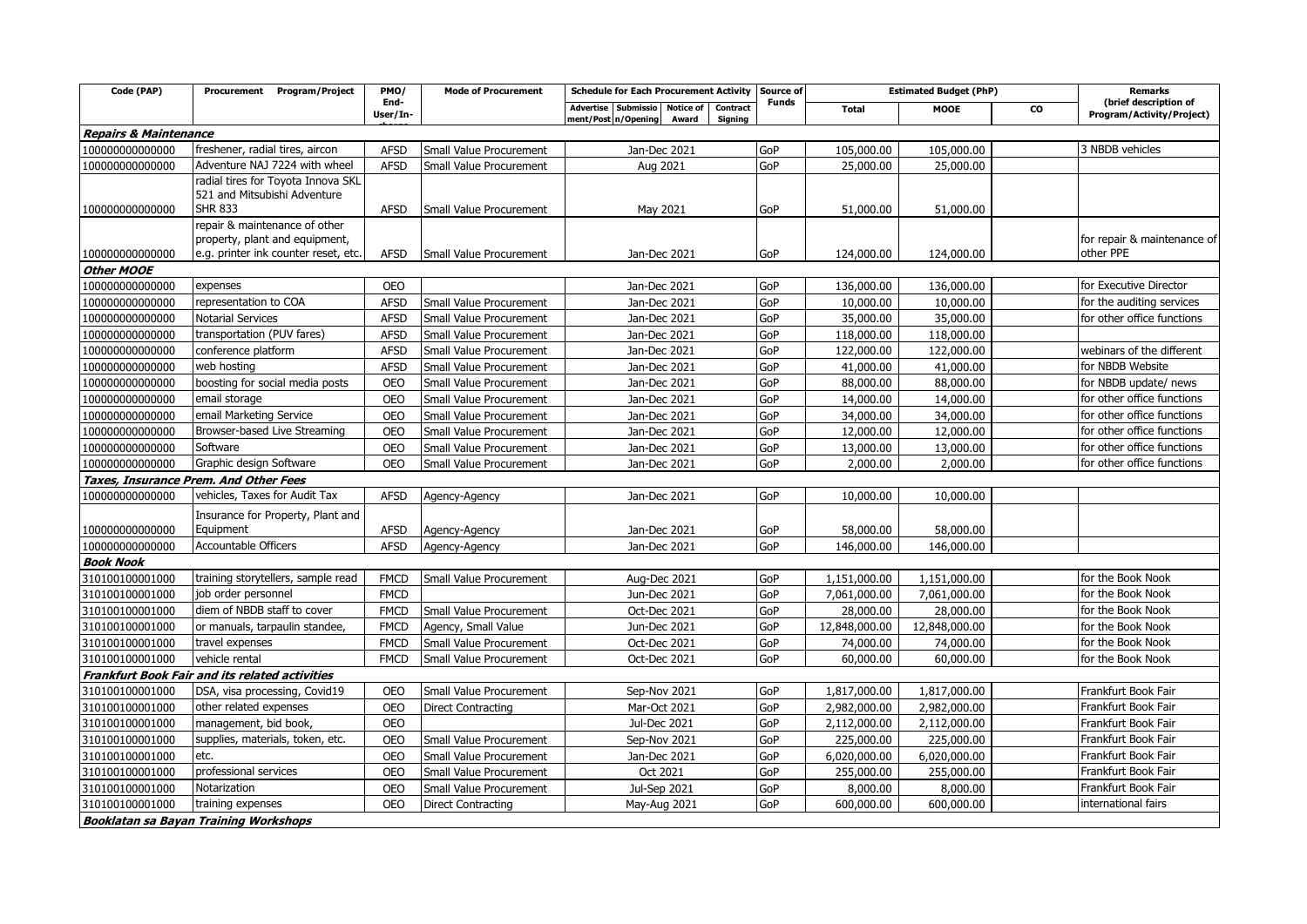| Code (PAP)                           | Procurement Program/Project                                                          | PMO/                      | <b>Mode of Procurement</b> | <b>Schedule for Each Procurement Activity</b>                                                  | Source of    | <b>Estimated Budget (PhP)</b> |               |    | <b>Remarks</b>                                          |
|--------------------------------------|--------------------------------------------------------------------------------------|---------------------------|----------------------------|------------------------------------------------------------------------------------------------|--------------|-------------------------------|---------------|----|---------------------------------------------------------|
|                                      |                                                                                      | End-<br>User/In-          |                            | Advertise Submissio<br><b>Notice of</b><br>Contract<br>ment/Post n/Opening<br>Award<br>Sianina | <b>Funds</b> | <b>Total</b>                  | <b>MOOE</b>   | CO | (brief description of<br>Program/Activity/Project)      |
| <b>Repairs &amp; Maintenance</b>     |                                                                                      |                           |                            |                                                                                                |              |                               |               |    |                                                         |
| 100000000000000                      | freshener, radial tires, aircon                                                      | <b>AFSD</b>               | Small Value Procurement    | Jan-Dec 2021                                                                                   | GoP          | 105,000.00                    | 105,000.00    |    | 3 NBDB vehicles                                         |
| 10000000000000                       | Adventure NAJ 7224 with wheel                                                        | <b>AFSD</b>               | Small Value Procurement    | Aug 2021                                                                                       | GoP          | 25,000.00                     | 25,000.00     |    |                                                         |
| 100000000000000                      | radial tires for Toyota Innova SKL<br>521 and Mitsubishi Adventure<br><b>SHR 833</b> | <b>AFSD</b>               | Small Value Procurement    | May 2021                                                                                       | GoP          | 51,000.00                     | 51,000.00     |    |                                                         |
|                                      | repair & maintenance of other                                                        |                           |                            |                                                                                                |              |                               |               |    |                                                         |
|                                      | property, plant and equipment,<br>e.g. printer ink counter reset, etc.               | <b>AFSD</b>               |                            |                                                                                                | GoP          | 124,000.00                    |               |    | for repair & maintenance of<br>other PPE                |
| 100000000000000<br><b>Other MOOE</b> |                                                                                      |                           | Small Value Procurement    | Jan-Dec 2021                                                                                   |              |                               | 124,000.00    |    |                                                         |
|                                      |                                                                                      |                           |                            |                                                                                                |              |                               |               |    | for Executive Director                                  |
| 100000000000000                      | expenses<br>representation to COA                                                    | <b>OEO</b><br><b>AFSD</b> |                            | Jan-Dec 2021                                                                                   | GoP<br>GoP   | 136,000.00<br>10,000.00       | 136,000.00    |    |                                                         |
| 100000000000000                      | <b>Notarial Services</b>                                                             |                           | Small Value Procurement    | Jan-Dec 2021                                                                                   | GoP          |                               | 10,000.00     |    | for the auditing services<br>for other office functions |
| 100000000000000                      |                                                                                      | <b>AFSD</b>               | Small Value Procurement    | Jan-Dec 2021                                                                                   |              | 35,000.00                     | 35,000.00     |    |                                                         |
| 10000000000000                       | transportation (PUV fares)                                                           | <b>AFSD</b>               | Small Value Procurement    | Jan-Dec 2021                                                                                   | GoP          | 118,000.00                    | 118,000.00    |    |                                                         |
| 100000000000000                      | conference platform                                                                  | <b>AFSD</b>               | Small Value Procurement    | Jan-Dec 2021                                                                                   | GoP          | 122,000.00                    | 122,000.00    |    | webinars of the different                               |
| 10000000000000                       | web hosting                                                                          | <b>AFSD</b>               | Small Value Procurement    | Jan-Dec 2021                                                                                   | GoP          | 41,000.00                     | 41,000.00     |    | for NBDB Website                                        |
| 10000000000000                       | boosting for social media posts                                                      | <b>OEO</b>                | Small Value Procurement    | Jan-Dec 2021                                                                                   | GoP          | 88,000.00                     | 88,000.00     |    | for NBDB update/ news                                   |
| 100000000000000                      | email storage                                                                        | <b>OEO</b>                | Small Value Procurement    | Jan-Dec 2021                                                                                   | GoP          | 14,000.00                     | 14,000.00     |    | for other office functions                              |
| 100000000000000                      | email Marketing Service                                                              | <b>OEO</b>                | Small Value Procurement    | Jan-Dec 2021                                                                                   | GoP          | 34,000.00                     | 34,000.00     |    | for other office functions                              |
| 100000000000000                      | Browser-based Live Streaming                                                         | <b>OEO</b>                | Small Value Procurement    | Jan-Dec 2021                                                                                   | GoP          | 12,000.00                     | 12,000.00     |    | for other office functions                              |
| 100000000000000                      | Software                                                                             | <b>OEO</b>                | Small Value Procurement    | Jan-Dec 2021                                                                                   | GoP          | 13,000.00                     | 13,000.00     |    | for other office functions                              |
| 100000000000000                      | Graphic design Software                                                              | <b>OEO</b>                | Small Value Procurement    | Jan-Dec 2021                                                                                   | GoP          | 2,000.00                      | 2,000.00      |    | for other office functions                              |
|                                      | Taxes, Insurance Prem. And Other Fees                                                |                           |                            |                                                                                                |              |                               |               |    |                                                         |
| 10000000000000                       | vehicles, Taxes for Audit Tax                                                        | <b>AFSD</b>               | Agency-Agency              | Jan-Dec 2021                                                                                   | GoP          | 10,000.00                     | 10,000.00     |    |                                                         |
| 100000000000000                      | Insurance for Property, Plant and<br>Equipment                                       | <b>AFSD</b>               | Agency-Agency              | Jan-Dec 2021                                                                                   | GoP          | 58,000.00                     | 58,000.00     |    |                                                         |
| 100000000000000                      | <b>Accountable Officers</b>                                                          | <b>AFSD</b>               | Agency-Agency              | Jan-Dec 2021                                                                                   | GoP          | 146,000.00                    | 146,000.00    |    |                                                         |
| <b>Book Nook</b>                     |                                                                                      |                           |                            |                                                                                                |              |                               |               |    |                                                         |
| 310100100001000                      | training storytellers, sample read                                                   | <b>FMCD</b>               | Small Value Procurement    | Aug-Dec 2021                                                                                   | GoP          | 1,151,000.00                  | 1,151,000.00  |    | for the Book Nook                                       |
| 310100100001000                      | job order personnel                                                                  | <b>FMCD</b>               |                            | Jun-Dec 2021                                                                                   | GoP          | 7,061,000.00                  | 7,061,000.00  |    | for the Book Nook                                       |
| 310100100001000                      | diem of NBDB staff to cover                                                          | <b>FMCD</b>               | Small Value Procurement    | Oct-Dec 2021                                                                                   | GoP          | 28,000.00                     | 28,000.00     |    | for the Book Nook                                       |
| 310100100001000                      | or manuals, tarpaulin standee,                                                       | <b>FMCD</b>               | Agency, Small Value        | Jun-Dec 2021                                                                                   | GoP          | 12,848,000.00                 | 12,848,000.00 |    | for the Book Nook                                       |
| 310100100001000                      | travel expenses                                                                      | <b>FMCD</b>               | Small Value Procurement    | Oct-Dec 2021                                                                                   | GoP          | 74,000.00                     | 74,000.00     |    | for the Book Nook                                       |
| 310100100001000                      | vehicle rental                                                                       | <b>FMCD</b>               | Small Value Procurement    | Oct-Dec 2021                                                                                   | GoP          | 60,000.00                     | 60,000.00     |    | for the Book Nook                                       |
|                                      | <b>Frankfurt Book Fair and its related activities</b>                                |                           |                            |                                                                                                |              |                               |               |    |                                                         |
| 310100100001000                      | DSA, visa processing, Covid19                                                        | <b>OEO</b>                | Small Value Procurement    | Sep-Nov 2021                                                                                   | GoP          | 1,817,000.00                  | 1,817,000.00  |    | Frankfurt Book Fair                                     |
| 310100100001000                      | other related expenses                                                               | <b>OEO</b>                | <b>Direct Contracting</b>  | Mar-Oct 2021                                                                                   | GoP          | 2,982,000.00                  | 2,982,000.00  |    | Frankfurt Book Fair                                     |
| 310100100001000                      | management, bid book,                                                                | <b>OEO</b>                |                            | Jul-Dec 2021                                                                                   | GoP          | 2,112,000.00                  | 2,112,000.00  |    | Frankfurt Book Fair                                     |
| 310100100001000                      | supplies, materials, token, etc.                                                     | <b>OEO</b>                | Small Value Procurement    | Sep-Nov 2021                                                                                   | GoP          | 225,000.00                    | 225,000.00    |    | Frankfurt Book Fair                                     |
| 310100100001000                      | etc.                                                                                 | <b>OEO</b>                | Small Value Procurement    | Jan-Dec 2021                                                                                   | GoP          | 6,020,000.00                  | 6,020,000.00  |    | Frankfurt Book Fair                                     |
| 310100100001000                      | professional services                                                                | <b>OEO</b>                | Small Value Procurement    | Oct 2021                                                                                       | GoP          | 255,000.00                    | 255,000.00    |    | Frankfurt Book Fair                                     |
| 310100100001000                      | Notarization                                                                         | <b>OEO</b>                | Small Value Procurement    | Jul-Sep 2021                                                                                   | GoP          | 8,000.00                      | 8,000.00      |    | Frankfurt Book Fair                                     |
| 310100100001000                      | training expenses                                                                    | <b>OEO</b>                | <b>Direct Contracting</b>  | May-Aug 2021                                                                                   | GoP          | 600,000.00                    | 600,000.00    |    | international fairs                                     |
|                                      | <b>Booklatan sa Bayan Training Workshops</b>                                         |                           |                            |                                                                                                |              |                               |               |    |                                                         |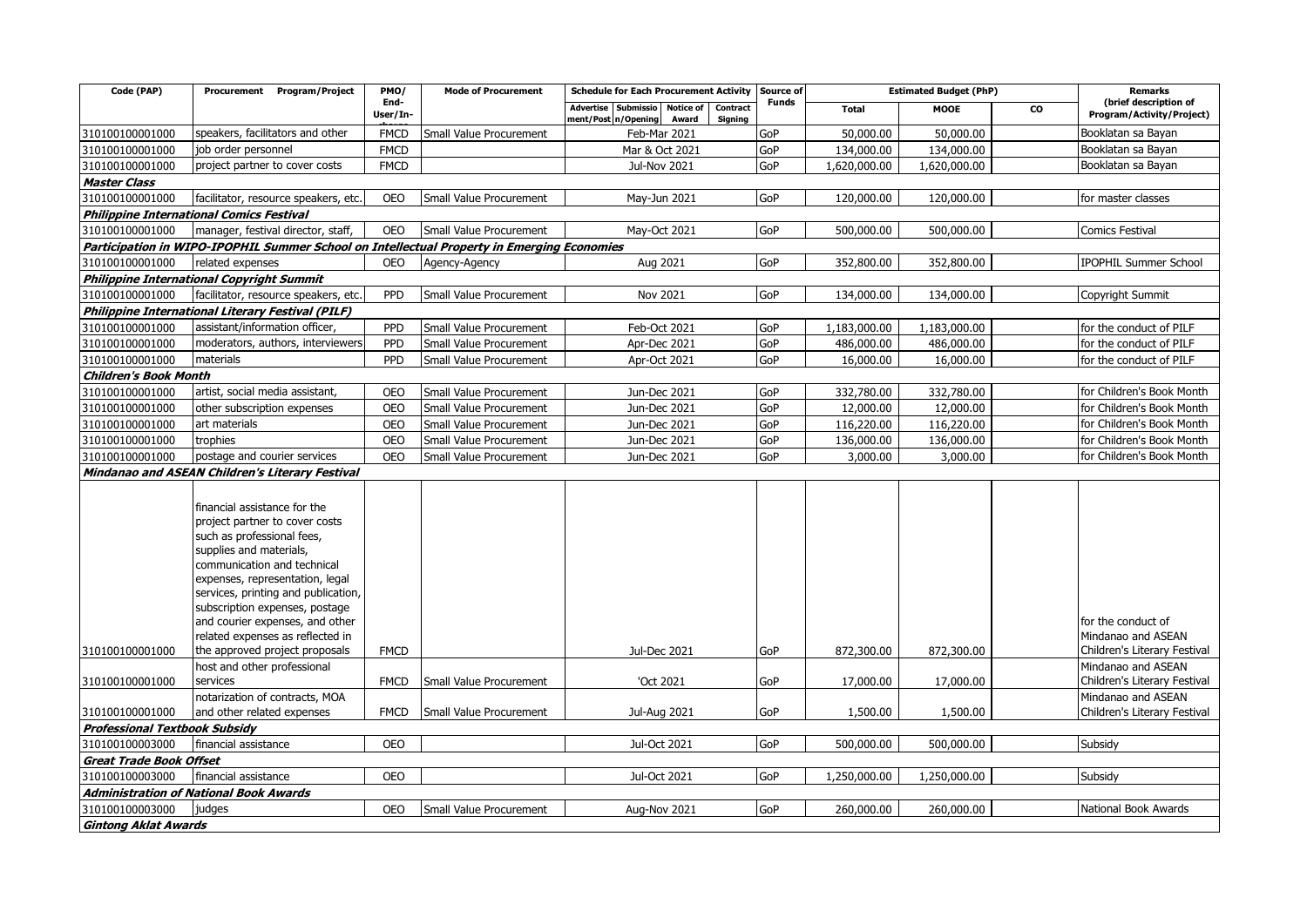| Code (PAP)                           | <b>Program/Project</b><br>Procurement                                                                                                                                                                                                                                                                                                                                                                                                                    | PMO/                       | <b>Mode of Procurement</b> | <b>Schedule for Each Procurement Activity</b><br>Source of<br><b>Funds</b>                        |            | <b>Estimated Budget (PhP)</b> | <b>Remarks</b><br>(brief description of |    |                                                                                                                                                      |
|--------------------------------------|----------------------------------------------------------------------------------------------------------------------------------------------------------------------------------------------------------------------------------------------------------------------------------------------------------------------------------------------------------------------------------------------------------------------------------------------------------|----------------------------|----------------------------|---------------------------------------------------------------------------------------------------|------------|-------------------------------|-----------------------------------------|----|------------------------------------------------------------------------------------------------------------------------------------------------------|
|                                      |                                                                                                                                                                                                                                                                                                                                                                                                                                                          | End-<br>User/In-           |                            | <b>Notice of</b><br>Advertise<br>Submissio<br>Contract<br>ment/Post n/Opening<br>Award<br>Signing |            | <b>Total</b>                  | <b>MOOE</b>                             | CO | Program/Activity/Project)                                                                                                                            |
| 310100100001000                      | speakers, facilitators and other                                                                                                                                                                                                                                                                                                                                                                                                                         | <b>FMCD</b>                | Small Value Procurement    | Feb-Mar 2021                                                                                      | GoP        | 50,000.00                     | 50,000.00                               |    | Booklatan sa Bayan                                                                                                                                   |
| 310100100001000                      | job order personnel                                                                                                                                                                                                                                                                                                                                                                                                                                      | <b>FMCD</b>                |                            | Mar & Oct 2021                                                                                    | GoP        | 134,000.00                    | 134,000.00                              |    | Booklatan sa Bayan                                                                                                                                   |
| 310100100001000                      | project partner to cover costs                                                                                                                                                                                                                                                                                                                                                                                                                           | <b>FMCD</b>                |                            | <b>Jul-Nov 2021</b>                                                                               | GoP        | 1,620,000.00                  | 1,620,000.00                            |    | Booklatan sa Bayan                                                                                                                                   |
| <b>Master Class</b>                  |                                                                                                                                                                                                                                                                                                                                                                                                                                                          |                            |                            |                                                                                                   |            |                               |                                         |    |                                                                                                                                                      |
| 310100100001000                      | facilitator, resource speakers, etc.                                                                                                                                                                                                                                                                                                                                                                                                                     | <b>OEO</b>                 | Small Value Procurement    | May-Jun 2021                                                                                      | GoP        | 120,000.00                    | 120,000.00                              |    | for master classes                                                                                                                                   |
|                                      | <b>Philippine International Comics Festival</b>                                                                                                                                                                                                                                                                                                                                                                                                          |                            |                            |                                                                                                   |            |                               |                                         |    |                                                                                                                                                      |
| 310100100001000                      | manager, festival director, staff,                                                                                                                                                                                                                                                                                                                                                                                                                       | <b>OEO</b>                 | Small Value Procurement    | May-Oct 2021                                                                                      | GoP        | 500,000.00                    | 500,000.00                              |    | Comics Festival                                                                                                                                      |
|                                      | Participation in WIPO-IPOPHIL Summer School on Intellectual Property in Emerging Economies                                                                                                                                                                                                                                                                                                                                                               |                            |                            |                                                                                                   |            |                               |                                         |    |                                                                                                                                                      |
| 310100100001000                      | related expenses                                                                                                                                                                                                                                                                                                                                                                                                                                         | <b>OEO</b>                 | Agency-Agency              | Aug 2021                                                                                          | GoP        | 352,800.00                    | 352,800.00                              |    | IPOPHIL Summer School                                                                                                                                |
|                                      | <b>Philippine International Copyright Summit</b>                                                                                                                                                                                                                                                                                                                                                                                                         |                            |                            |                                                                                                   |            |                               |                                         |    |                                                                                                                                                      |
| 310100100001000                      | facilitator, resource speakers, etc.                                                                                                                                                                                                                                                                                                                                                                                                                     | PPD                        | Small Value Procurement    | Nov 2021                                                                                          | GoP        | 134,000.00                    | 134,000.00                              |    | Copyright Summit                                                                                                                                     |
|                                      | Philippine International Literary Festival (PILF)                                                                                                                                                                                                                                                                                                                                                                                                        |                            |                            |                                                                                                   |            |                               |                                         |    |                                                                                                                                                      |
| 310100100001000                      | assistant/information officer,                                                                                                                                                                                                                                                                                                                                                                                                                           | <b>PPD</b>                 | Small Value Procurement    | Feb-Oct 2021                                                                                      | GoP        | 1,183,000.00                  | 1,183,000.00                            |    | for the conduct of PILF                                                                                                                              |
| 310100100001000                      | moderators, authors, interviewers                                                                                                                                                                                                                                                                                                                                                                                                                        | PPD                        | Small Value Procurement    | Apr-Dec 2021                                                                                      | GoP        | 486,000.00                    | 486,000.00                              |    | for the conduct of PILF                                                                                                                              |
| 310100100001000                      | materials                                                                                                                                                                                                                                                                                                                                                                                                                                                | PPD                        | Small Value Procurement    | Apr-Oct 2021                                                                                      | GoP        | 16,000.00                     | 16,000.00                               |    | for the conduct of PILF                                                                                                                              |
| <b>Children's Book Month</b>         |                                                                                                                                                                                                                                                                                                                                                                                                                                                          |                            |                            |                                                                                                   |            |                               |                                         |    |                                                                                                                                                      |
| 310100100001000                      | artist, social media assistant,                                                                                                                                                                                                                                                                                                                                                                                                                          | <b>OEO</b>                 | Small Value Procurement    | Jun-Dec 2021                                                                                      | GoP        | 332,780.00                    | 332,780.00                              |    | for Children's Book Month                                                                                                                            |
| 310100100001000                      | other subscription expenses                                                                                                                                                                                                                                                                                                                                                                                                                              | <b>OEO</b>                 | Small Value Procurement    | Jun-Dec 2021                                                                                      | GoP        | 12,000.00                     | 12,000.00                               |    | for Children's Book Month                                                                                                                            |
| 310100100001000                      | art materials                                                                                                                                                                                                                                                                                                                                                                                                                                            | <b>OEO</b>                 | Small Value Procurement    | Jun-Dec 2021                                                                                      | GoP        | 116,220.00                    | 116,220.00                              |    | for Children's Book Month                                                                                                                            |
| 310100100001000                      | trophies                                                                                                                                                                                                                                                                                                                                                                                                                                                 | <b>OEO</b>                 | Small Value Procurement    | Jun-Dec 2021                                                                                      | GoP        | 136,000.00                    | 136,000.00                              |    | for Children's Book Month                                                                                                                            |
| 310100100001000                      | postage and courier services                                                                                                                                                                                                                                                                                                                                                                                                                             | <b>OEO</b>                 | Small Value Procurement    | Jun-Dec 2021                                                                                      | GoP        | 3,000.00                      | 3,000.00                                |    | for Children's Book Month                                                                                                                            |
|                                      | <b>Mindanao and ASEAN Children's Literary Festival</b>                                                                                                                                                                                                                                                                                                                                                                                                   |                            |                            |                                                                                                   |            |                               |                                         |    |                                                                                                                                                      |
| 310100100001000<br>310100100001000   | financial assistance for the<br>project partner to cover costs<br>such as professional fees,<br>supplies and materials,<br>communication and technical<br>expenses, representation, legal<br>services, printing and publication,<br>subscription expenses, postage<br>and courier expenses, and other<br>related expenses as reflected in<br>the approved project proposals<br>host and other professional<br>services<br>notarization of contracts, MOA | <b>FMCD</b><br><b>FMCD</b> | Small Value Procurement    | <b>Jul-Dec 2021</b><br>'Oct 2021                                                                  | GoP<br>GoP | 872,300.00<br>17,000.00       | 872,300.00<br>17,000.00                 |    | for the conduct of<br>Mindanao and ASEAN<br>Children's Literary Festival<br>Mindanao and ASEAN<br>Children's Literary Festival<br>Mindanao and ASEAN |
| 310100100001000                      | and other related expenses                                                                                                                                                                                                                                                                                                                                                                                                                               | <b>FMCD</b>                | Small Value Procurement    | Jul-Aug 2021                                                                                      | GoP        | 1,500.00                      | 1,500.00                                |    | Children's Literary Festival                                                                                                                         |
| <b>Professional Textbook Subsidy</b> |                                                                                                                                                                                                                                                                                                                                                                                                                                                          |                            |                            |                                                                                                   |            |                               |                                         |    |                                                                                                                                                      |
| 310100100003000                      | financial assistance                                                                                                                                                                                                                                                                                                                                                                                                                                     | <b>OEO</b>                 |                            | Jul-Oct 2021                                                                                      | GoP        | 500,000.00                    | 500,000.00                              |    | Subsidy                                                                                                                                              |
| <b>Great Trade Book Offset</b>       |                                                                                                                                                                                                                                                                                                                                                                                                                                                          |                            |                            |                                                                                                   |            |                               |                                         |    |                                                                                                                                                      |
| 310100100003000                      | financial assistance                                                                                                                                                                                                                                                                                                                                                                                                                                     | <b>OEO</b>                 |                            | Jul-Oct 2021                                                                                      | GoP        | 1,250,000.00                  | 1,250,000.00                            |    | Subsidy                                                                                                                                              |
|                                      | <b>Administration of National Book Awards</b>                                                                                                                                                                                                                                                                                                                                                                                                            |                            |                            |                                                                                                   |            |                               |                                         |    |                                                                                                                                                      |
| 310100100003000                      | judges                                                                                                                                                                                                                                                                                                                                                                                                                                                   | <b>OEO</b>                 | Small Value Procurement    | Aug-Nov 2021                                                                                      | GoP        | 260,000.00                    | 260,000.00                              |    | National Book Awards                                                                                                                                 |
| <b>Gintong Aklat Awards</b>          |                                                                                                                                                                                                                                                                                                                                                                                                                                                          |                            |                            |                                                                                                   |            |                               |                                         |    |                                                                                                                                                      |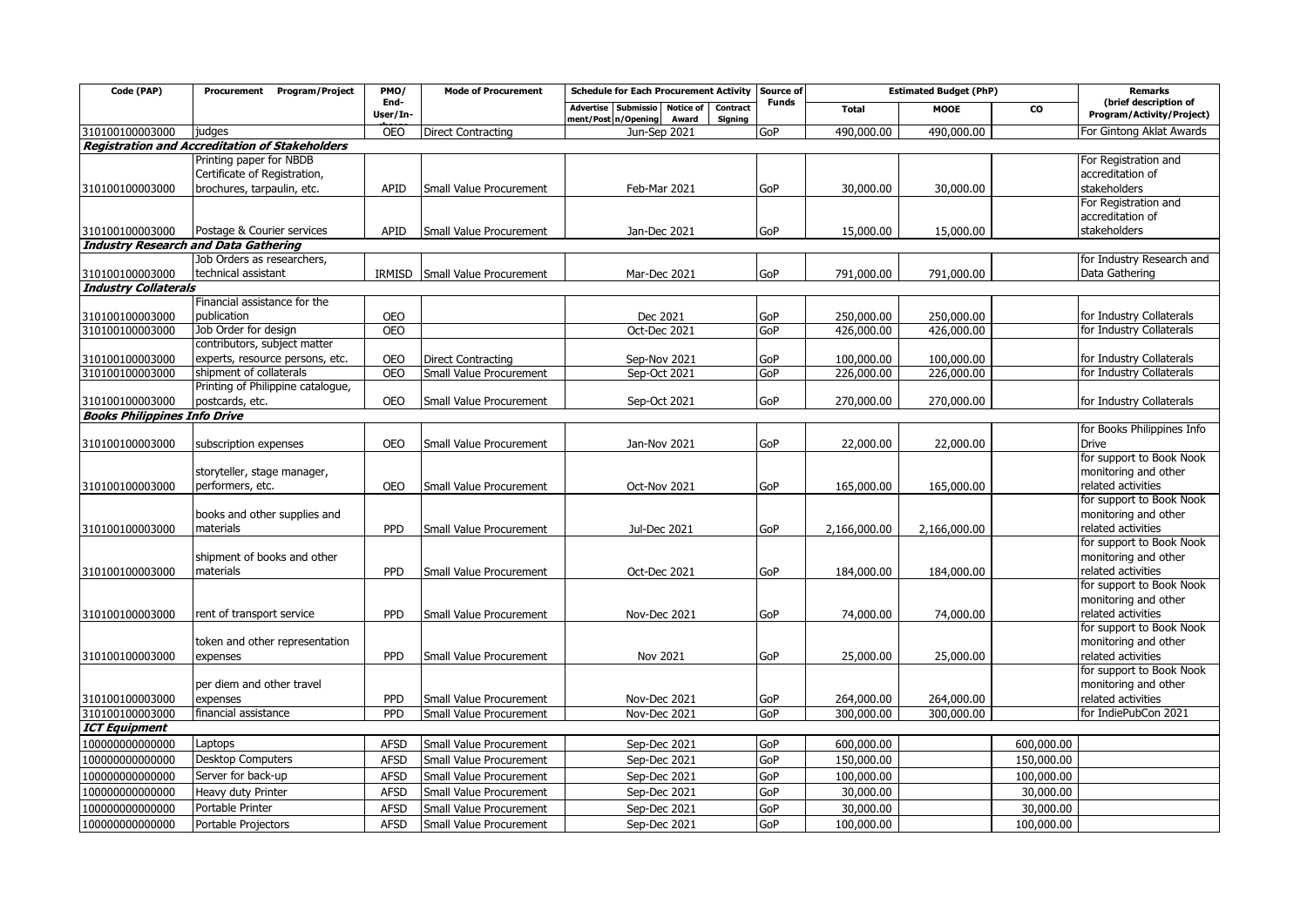| Code (PAP)                          | Program/Project<br>Procurement                        | PMO/             | <b>Mode of Procurement</b> | <b>Schedule for Each Procurement Activity</b>                                                                          | Source of    | <b>Estimated Budget (PhP)</b> |              |            | <b>Remarks</b>                                     |
|-------------------------------------|-------------------------------------------------------|------------------|----------------------------|------------------------------------------------------------------------------------------------------------------------|--------------|-------------------------------|--------------|------------|----------------------------------------------------|
|                                     |                                                       | End-<br>User/In- |                            | <b>Notice of</b><br><b>Contract</b><br><b>Advertise</b><br><b>Submissio</b><br>ment/Post n/Opening<br>Signing<br>Award | <b>Funds</b> | <b>Total</b>                  | <b>MOOE</b>  | <b>CO</b>  | (brief description of<br>Program/Activity/Project) |
| 310100100003000                     | judges                                                | <b>OEO</b>       | <b>Direct Contracting</b>  | Jun-Sep 2021                                                                                                           | GoP          | 490,000.00                    | 490,000.00   |            | For Gintong Aklat Awards                           |
|                                     | <b>Registration and Accreditation of Stakeholders</b> |                  |                            |                                                                                                                        |              |                               |              |            |                                                    |
|                                     | Printing paper for NBDB                               |                  |                            |                                                                                                                        |              |                               |              |            | For Registration and                               |
|                                     | Certificate of Registration,                          |                  |                            |                                                                                                                        |              |                               |              |            | accreditation of                                   |
| 310100100003000                     | brochures, tarpaulin, etc.                            | APID             | Small Value Procurement    | Feb-Mar 2021                                                                                                           | GoP          | 30,000.00                     | 30,000.00    |            | stakeholders                                       |
|                                     |                                                       |                  |                            |                                                                                                                        |              |                               |              |            | For Registration and<br>accreditation of           |
| 310100100003000                     | Postage & Courier services                            | APID             | Small Value Procurement    | Jan-Dec 2021                                                                                                           | GoP          | 15,000.00                     | 15,000.00    |            | stakeholders                                       |
|                                     | <b>Industry Research and Data Gathering</b>           |                  |                            |                                                                                                                        |              |                               |              |            |                                                    |
|                                     | Job Orders as researchers,                            |                  |                            |                                                                                                                        |              |                               |              |            | for Industry Research and                          |
| 310100100003000                     | technical assistant                                   | IRMISD           | Small Value Procurement    | Mar-Dec 2021                                                                                                           | GoP          | 791,000.00                    | 791,000.00   |            | Data Gathering                                     |
| <b>Industry Collaterals</b>         |                                                       |                  |                            |                                                                                                                        |              |                               |              |            |                                                    |
|                                     | Financial assistance for the                          |                  |                            |                                                                                                                        |              |                               |              |            |                                                    |
| 310100100003000                     | publication                                           | <b>OEO</b>       |                            | Dec 2021                                                                                                               | GoP          | 250,000.00                    | 250,000.00   |            | for Industry Collaterals                           |
| 310100100003000                     | Job Order for design                                  | <b>OEO</b>       |                            | Oct-Dec 2021                                                                                                           | GoP          | 426,000.00                    | 426,000.00   |            | for Industry Collaterals                           |
|                                     | contributors, subject matter                          |                  |                            |                                                                                                                        |              |                               |              |            |                                                    |
| 310100100003000                     | experts, resource persons, etc.                       | <b>OEO</b>       | <b>Direct Contracting</b>  | Sep-Nov 2021                                                                                                           | GoP          | 100,000.00                    | 100,000.00   |            | for Industry Collaterals                           |
| 310100100003000                     | shipment of collaterals                               | <b>OEO</b>       | Small Value Procurement    | Sep-Oct 2021                                                                                                           | GoP          | 226,000.00                    | 226,000.00   |            | for Industry Collaterals                           |
|                                     | Printing of Philippine catalogue,                     |                  |                            |                                                                                                                        |              |                               |              |            |                                                    |
| 310100100003000                     | postcards, etc.                                       | <b>OEO</b>       | Small Value Procurement    | Sep-Oct 2021                                                                                                           | GoP          | 270,000.00                    | 270,000.00   |            | for Industry Collaterals                           |
| <b>Books Philippines Info Drive</b> |                                                       |                  |                            |                                                                                                                        |              |                               |              |            |                                                    |
|                                     |                                                       |                  |                            |                                                                                                                        |              |                               |              |            | for Books Philippines Info                         |
| 310100100003000                     | subscription expenses                                 | <b>OEO</b>       | Small Value Procurement    | Jan-Nov 2021                                                                                                           | GoP          | 22,000.00                     | 22,000.00    |            | <b>Drive</b>                                       |
|                                     |                                                       |                  |                            |                                                                                                                        |              |                               |              |            | for support to Book Nook                           |
|                                     | storyteller, stage manager,                           | <b>OEO</b>       |                            |                                                                                                                        |              |                               |              |            | monitoring and other<br>related activities         |
| 310100100003000                     | performers, etc.                                      |                  | Small Value Procurement    | Oct-Nov 2021                                                                                                           | GoP          | 165,000.00                    | 165,000.00   |            | for support to Book Nook                           |
|                                     | books and other supplies and                          |                  |                            |                                                                                                                        |              |                               |              |            | monitoring and other                               |
| 310100100003000                     | materials                                             | PPD              | Small Value Procurement    | Jul-Dec 2021                                                                                                           | GoP          | 2,166,000.00                  | 2,166,000.00 |            | related activities                                 |
|                                     |                                                       |                  |                            |                                                                                                                        |              |                               |              |            | for support to Book Nook                           |
|                                     | shipment of books and other                           |                  |                            |                                                                                                                        |              |                               |              |            | monitoring and other                               |
| 310100100003000                     | materials                                             | PPD              | Small Value Procurement    | Oct-Dec 2021                                                                                                           | GoP          | 184,000.00                    | 184,000.00   |            | related activities                                 |
|                                     |                                                       |                  |                            |                                                                                                                        |              |                               |              |            | for support to Book Nook                           |
|                                     |                                                       |                  |                            |                                                                                                                        |              |                               |              |            | monitoring and other                               |
| 310100100003000                     | rent of transport service                             | PPD              | Small Value Procurement    | Nov-Dec 2021                                                                                                           | GoP          | 74,000.00                     | 74,000.00    |            | related activities                                 |
|                                     |                                                       |                  |                            |                                                                                                                        |              |                               |              |            | for support to Book Nook                           |
|                                     | token and other representation                        |                  |                            |                                                                                                                        |              |                               |              |            | monitoring and other                               |
| 310100100003000                     | expenses                                              | <b>PPD</b>       | Small Value Procurement    | Nov 2021                                                                                                               | GoP          | 25,000.00                     | 25,000.00    |            | related activities                                 |
|                                     |                                                       |                  |                            |                                                                                                                        |              |                               |              |            | for support to Book Nook                           |
|                                     | per diem and other travel                             |                  |                            |                                                                                                                        |              |                               |              |            | monitoring and other                               |
| 310100100003000                     | expenses                                              | PPD              | Small Value Procurement    | Nov-Dec 2021                                                                                                           | GoP          | 264,000.00                    | 264,000.00   |            | related activities                                 |
| 310100100003000                     | financial assistance                                  | PPD              | Small Value Procurement    | Nov-Dec 2021                                                                                                           | GoP          | 300,000,00                    | 300,000,00   |            | for IndiePubCon 2021                               |
| <b>ICT Equipment</b>                |                                                       |                  |                            |                                                                                                                        |              |                               |              |            |                                                    |
| 100000000000000                     | Laptops                                               | <b>AFSD</b>      | Small Value Procurement    | Sep-Dec 2021                                                                                                           | GoP          | 600,000.00                    |              | 600,000.00 |                                                    |
| 100000000000000                     | <b>Desktop Computers</b>                              | <b>AFSD</b>      | Small Value Procurement    | Sep-Dec 2021                                                                                                           | GoP          | 150,000.00                    |              | 150,000.00 |                                                    |
| 100000000000000                     | Server for back-up                                    | <b>AFSD</b>      | Small Value Procurement    | Sep-Dec 2021                                                                                                           | GoP          | 100,000.00                    |              | 100,000.00 |                                                    |
| 10000000000000                      | Heavy duty Printer                                    | <b>AFSD</b>      | Small Value Procurement    | Sep-Dec 2021                                                                                                           | GoP          | 30,000.00                     |              | 30,000.00  |                                                    |
| 10000000000000                      | Portable Printer                                      | <b>AFSD</b>      | Small Value Procurement    | Sep-Dec 2021                                                                                                           | GoP          | 30,000.00                     |              | 30,000.00  |                                                    |
| 10000000000000                      | Portable Projectors                                   | <b>AFSD</b>      | Small Value Procurement    | Sep-Dec 2021                                                                                                           | GoP          | 100,000.00                    |              | 100,000.00 |                                                    |